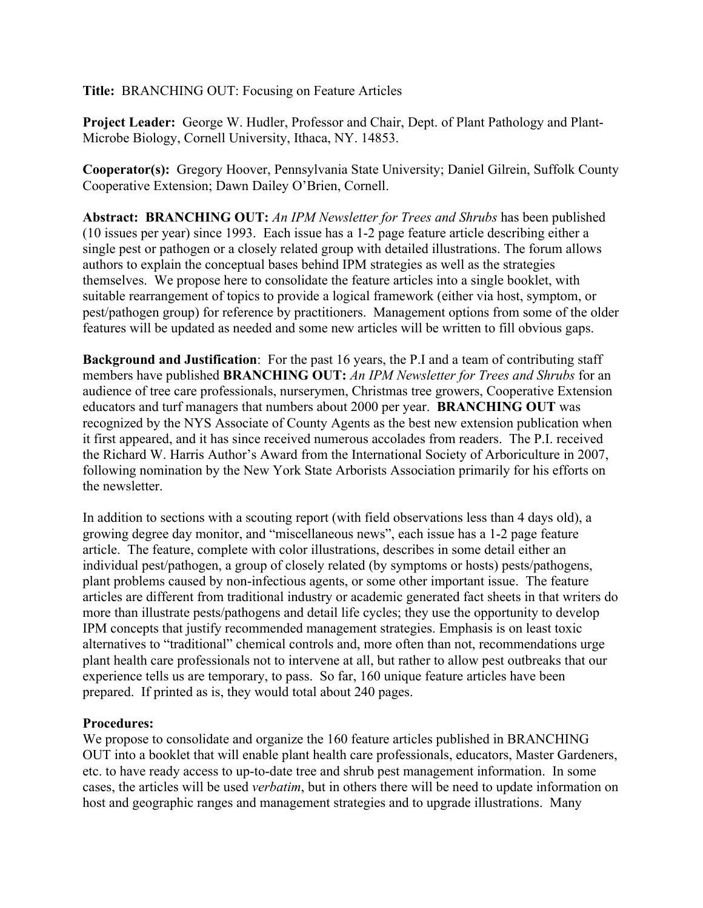**Title:** BRANCHING OUT: Focusing on Feature Articles

**Project Leader:** George W. Hudler, Professor and Chair, Dept. of Plant Pathology and Plant-Microbe Biology, Cornell University, Ithaca, NY. 14853.

**Cooperator(s):** Gregory Hoover, Pennsylvania State University; Daniel Gilrein, Suffolk County Cooperative Extension; Dawn Dailey O'Brien, Cornell.

**Abstract: BRANCHING OUT:** *An IPM Newsletter for Trees and Shrubs* has been published (10 issues per year) since 1993. Each issue has a 1-2 page feature article describing either a single pest or pathogen or a closely related group with detailed illustrations. The forum allows authors to explain the conceptual bases behind IPM strategies as well as the strategies themselves. We propose here to consolidate the feature articles into a single booklet, with suitable rearrangement of topics to provide a logical framework (either via host, symptom, or pest/pathogen group) for reference by practitioners. Management options from some of the older features will be updated as needed and some new articles will be written to fill obvious gaps.

**Background and Justification**: For the past 16 years, the P.I and a team of contributing staff members have published **BRANCHING OUT:** *An IPM Newsletter for Trees and Shrubs* for an audience of tree care professionals, nurserymen, Christmas tree growers, Cooperative Extension educators and turf managers that numbers about 2000 per year. **BRANCHING OUT** was recognized by the NYS Associate of County Agents as the best new extension publication when it first appeared, and it has since received numerous accolades from readers. The P.I. received the Richard W. Harris Author's Award from the International Society of Arboriculture in 2007, following nomination by the New York State Arborists Association primarily for his efforts on the newsletter.

In addition to sections with a scouting report (with field observations less than 4 days old), a growing degree day monitor, and "miscellaneous news", each issue has a 1-2 page feature article. The feature, complete with color illustrations, describes in some detail either an individual pest/pathogen, a group of closely related (by symptoms or hosts) pests/pathogens, plant problems caused by non-infectious agents, or some other important issue. The feature articles are different from traditional industry or academic generated fact sheets in that writers do more than illustrate pests/pathogens and detail life cycles; they use the opportunity to develop IPM concepts that justify recommended management strategies. Emphasis is on least toxic alternatives to "traditional" chemical controls and, more often than not, recommendations urge plant health care professionals not to intervene at all, but rather to allow pest outbreaks that our experience tells us are temporary, to pass. So far, 160 unique feature articles have been prepared. If printed as is, they would total about 240 pages.

## **Procedures:**

We propose to consolidate and organize the 160 feature articles published in BRANCHING OUT into a booklet that will enable plant health care professionals, educators, Master Gardeners, etc. to have ready access to up-to-date tree and shrub pest management information. In some cases, the articles will be used *verbatim*, but in others there will be need to update information on host and geographic ranges and management strategies and to upgrade illustrations. Many